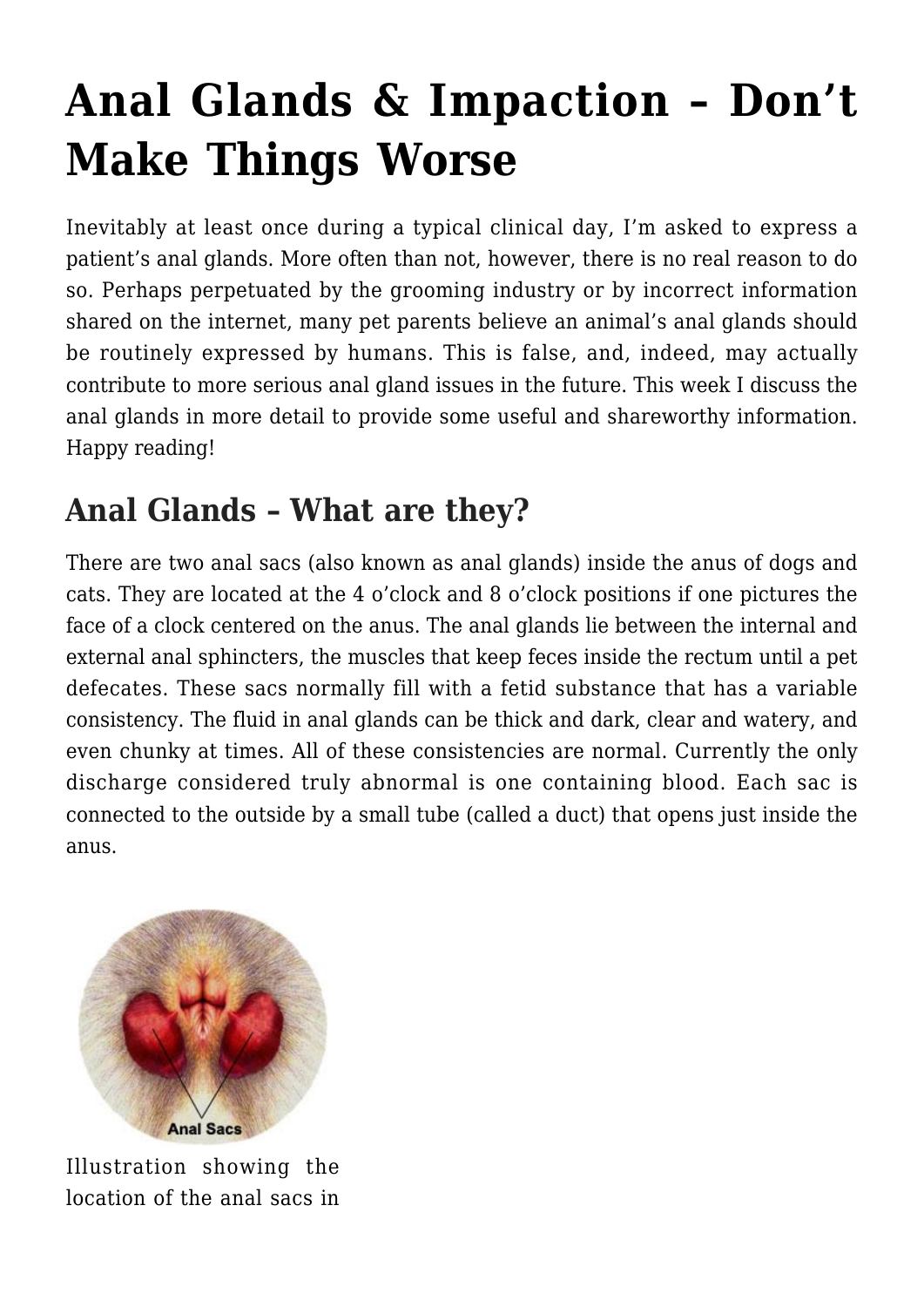# **[Anal Glands & Impaction – Don't](https://criticalcaredvm.com/anal-glands-impaction/) [Make Things Worse](https://criticalcaredvm.com/anal-glands-impaction/)**

Inevitably at least once during a typical clinical day, I'm asked to express a patient's anal glands. More often than not, however, there is no real reason to do so. Perhaps perpetuated by the grooming industry or by incorrect information shared on the internet, many pet parents believe an animal's anal glands should be routinely expressed by humans. This is false, and, indeed, may actually contribute to more serious anal gland issues in the future. This week I discuss the anal glands in more detail to provide some useful and shareworthy information. Happy reading!

### **Anal Glands – What are they?**

There are two anal sacs (also known as anal glands) inside the anus of dogs and cats. They are located at the 4 o'clock and 8 o'clock positions if one pictures the face of a clock centered on the anus. The anal glands lie between the internal and external anal sphincters, the muscles that keep feces inside the rectum until a pet defecates. These sacs normally fill with a fetid substance that has a variable consistency. The fluid in anal glands can be thick and dark, clear and watery, and even chunky at times. All of these consistencies are normal. Currently the only discharge considered truly abnormal is one containing blood. Each sac is connected to the outside by a small tube (called a duct) that opens just inside the anus.



Illustration showing the location of the anal sacs in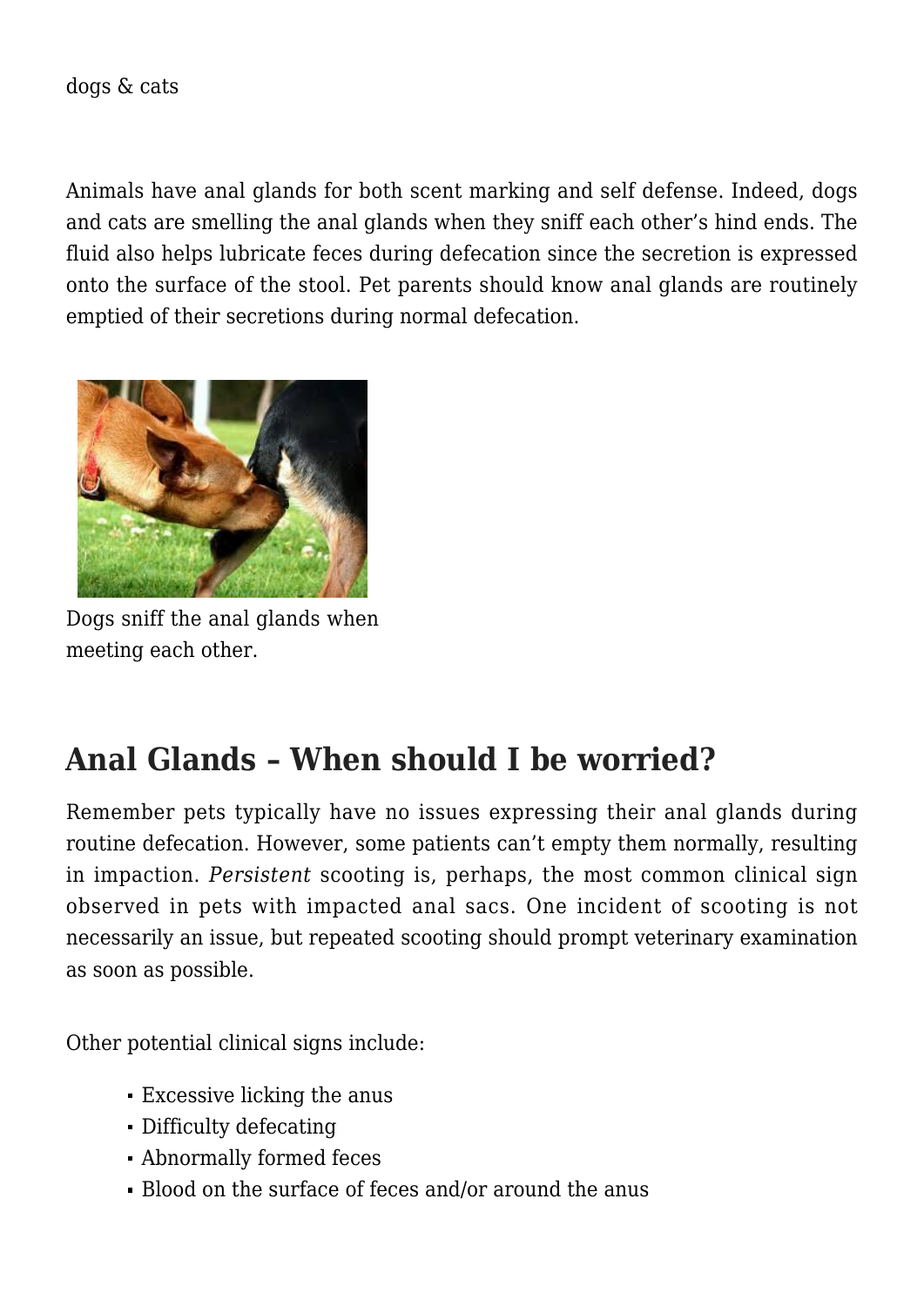Animals have anal glands for both scent marking and self defense. Indeed, dogs and cats are smelling the anal glands when they sniff each other's hind ends. The fluid also helps lubricate feces during defecation since the secretion is expressed onto the surface of the stool. Pet parents should know anal glands are routinely emptied of their secretions during normal defecation.



Dogs sniff the anal glands when meeting each other.

### **Anal Glands – When should I be worried?**

Remember pets typically have no issues expressing their anal glands during routine defecation. However, some patients can't empty them normally, resulting in impaction. *Persistent* scooting is, perhaps, the most common clinical sign observed in pets with impacted anal sacs. One incident of scooting is not necessarily an issue, but repeated scooting should prompt veterinary examination as soon as possible.

Other potential clinical signs include:

- Excessive licking the anus
- Difficulty defecating
- Abnormally formed feces
- Blood on the surface of feces and/or around the anus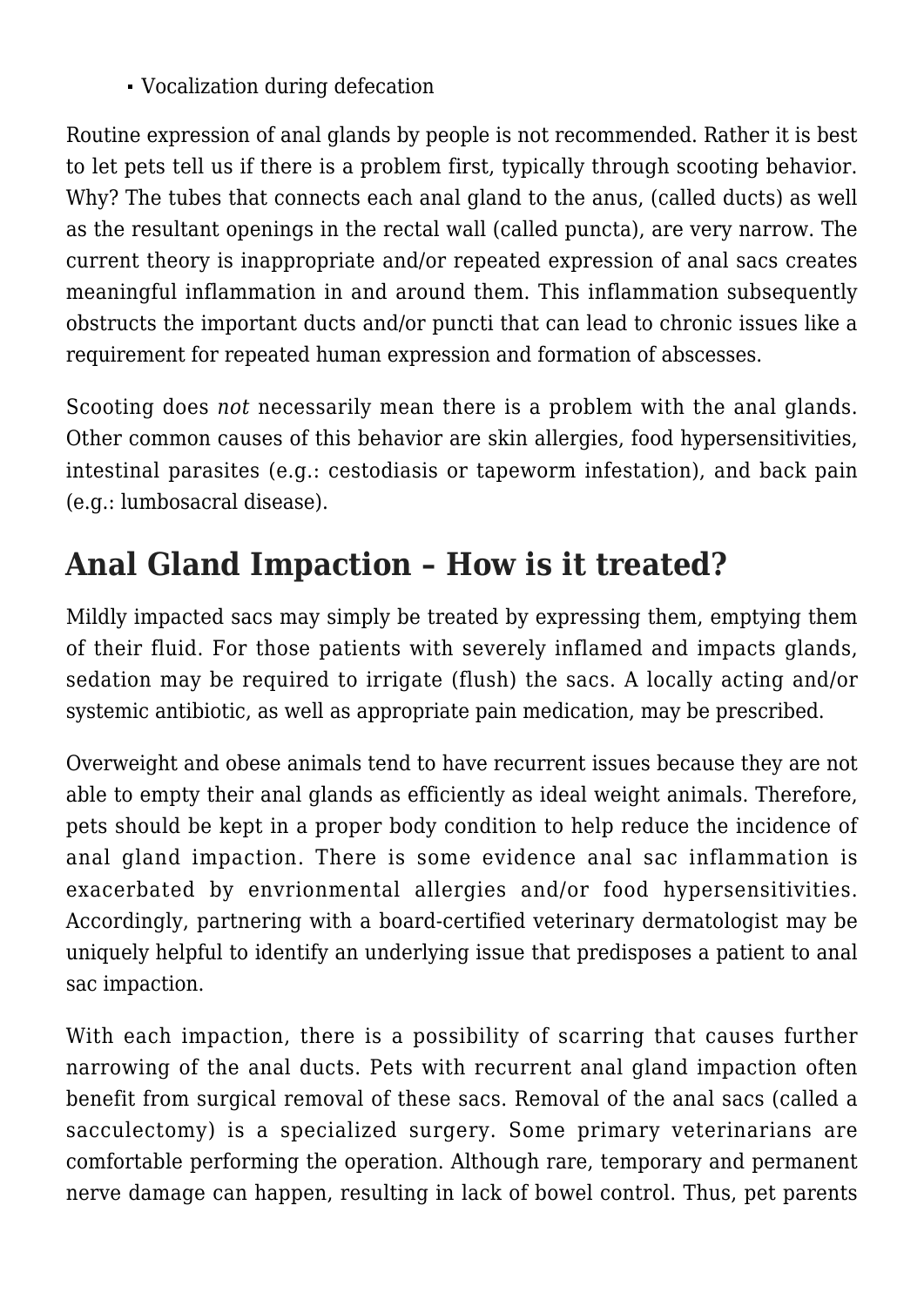Vocalization during defecation

Routine expression of anal glands by people is not recommended. Rather it is best to let pets tell us if there is a problem first, typically through scooting behavior. Why? The tubes that connects each anal gland to the anus, (called ducts) as well as the resultant openings in the rectal wall (called puncta), are very narrow. The current theory is inappropriate and/or repeated expression of anal sacs creates meaningful inflammation in and around them. This inflammation subsequently obstructs the important ducts and/or puncti that can lead to chronic issues like a requirement for repeated human expression and formation of abscesses.

Scooting does *not* necessarily mean there is a problem with the anal glands. Other common causes of this behavior are skin allergies, food hypersensitivities, intestinal parasites (e.g.: cestodiasis or tapeworm infestation), and back pain (e.g.: lumbosacral disease).

## **Anal Gland Impaction – How is it treated?**

Mildly impacted sacs may simply be treated by expressing them, emptying them of their fluid. For those patients with severely inflamed and impacts glands, sedation may be required to irrigate (flush) the sacs. A locally acting and/or systemic antibiotic, as well as appropriate pain medication, may be prescribed.

Overweight and obese animals tend to have recurrent issues because they are not able to empty their anal glands as efficiently as ideal weight animals. Therefore, pets should be kept in a proper body condition to help reduce the incidence of anal gland impaction. There is some evidence anal sac inflammation is exacerbated by envrionmental allergies and/or food hypersensitivities. Accordingly, partnering with a board-certified veterinary dermatologist may be uniquely helpful to identify an underlying issue that predisposes a patient to anal sac impaction.

With each impaction, there is a possibility of scarring that causes further narrowing of the anal ducts. Pets with recurrent anal gland impaction often benefit from surgical removal of these sacs. Removal of the anal sacs (called a sacculectomy) is a specialized surgery. Some primary veterinarians are comfortable performing the operation. Although rare, temporary and permanent nerve damage can happen, resulting in lack of bowel control. Thus, pet parents